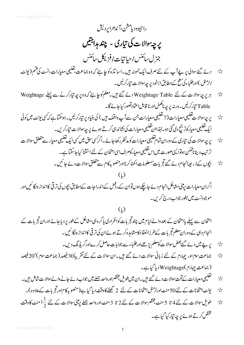## راحيوود پامشن،آندھراپرديش یر چه سوالات کی تیاری - چند مداہتیں جزل سائنس رحياتيات افزيكل سائنس

- دئے گئے سوالی پر چے آپ کے لئےصرف ایک نمونہ ہیں۔اسا تذ ہ کو جا ہئے کہ وہ جماعت ،تعلیمی معیارات،ٹسٹ کی تشم ( یونٹ ☆ ا ڑمنل )اورطلباءکی سطح کےمطابق ازخود پر چی<sup>سوال</sup>ات تیارکرلیں۔
- ہر یہ چہ سوالات کے لئے Weightage Table دئے گئے ہیں۔معلم کوجا ہئے کہ وہ یہ چہ تیارکرنے سے پہلے Weightage ☆ Table تپارکرلیں۔ورنہ پر جہ نامکمل اورنا قابل اعتمادتصور کیاجائے گا۔
- یر چەسوالات تعلیمی معیارات (7 تعلیمی معیارات جن سےآپ واقف ہیں ) کی بنیاد پر تیارکرلیں۔ہوسکتا ہے کہ کسی یونٹ میں کوئی  $x^2$ ایک تعلیمی معیارکوتر جیح دی گئی ہو۔لہٰذاان تعلیمی معیارات کی نشاند ہی کرتے ہوئے پر چہ سوالات تیارکریں۔
- پر چەسوالات کی تیاری کے دوران تمام تعلیمی معیارات کو م*دنظر د*کھاجائے۔اگرکسی سبق میں کسی ایک تعلیمی معیار سے متعلق سوالات  $\overleftrightarrow{\lambda}$ ترتیب دیناناممکن ہوتوالی<sub>ک</sub>صورت میں اس تعلیمی معیارکوصرف اسی امتحان کے لئے استثنا کیاجاسکتا ہے۔
	- بچوں کے ذریعہانجام دئے گئے تج بات'معلومات اکھٹا کرنااور منصوبہ کام سے متعلق سوالات دئے جا ئیں۔  $x^2$

اگران معیارات برمبنی مشاغل انجام دئے جاچکے ہوں توان کےردعمل کےاندراجات کےمطابق بچوں کی ترقی کاانداز ہ لگا ئیں اور موجودشٹ میں بطور جواب درج کریں۔

 $\left(\iota\right)$ 

- امتحان سے پہلے پاامتحان کے بعد والےاہام میں چند تجربات کوانفرادی پاگروہی مشاغل کےطور پر دیاجائے اوران تجربات کے انجام دہی کے دوران معلم تجربات کےطرزانعقاد کامشاہدہ کرتے ہوئے ان کی ترقی کاانداز ہ لگا ئیں۔
	- یر ہے میں دئے گئےبعض سوالا ت کومعلم پڑھےاورطلباء سے جوابات حاصل کرےاورگر پڑنگ دیں۔ ☆
- جماعت سوم اور جہارم کے لئے زبانی سوالات دئے گئے ہیں۔ان سوالات کے لئے تقریباً 30 فیصد (جماعت سوم )'20 فیصد ☆ (جماعت جہارم)Weightage دیا گیاہے۔
- تغلیمی معیارات کےتحت سوالات دئے گئے ہیں۔ان میں طویل مختصراور داحد جملے میں جواب دئے جانے والےسوالات شامل ہیں۔ ☆
- یونٹ امتحانات کے لئے 50 منٹ اورٹرمنل امتحانات کے لئے 2 گھنٹے کاوقت دیا گیا ہے( منصوبہ کام اورتجریات کےعلاوہ )۔ ☆
- طویل سوالات کے لئے 4 تا 5 منٹ بختصر سوالات کے لئے 2 تا 3 منٹ اور واحد جملے برمبنی سوالات کے لئے <sup>1</sup>1 منٹ کا وقت ☆ مخض کرتے ہوئے پر چہ تیارکیا گیاہے۔